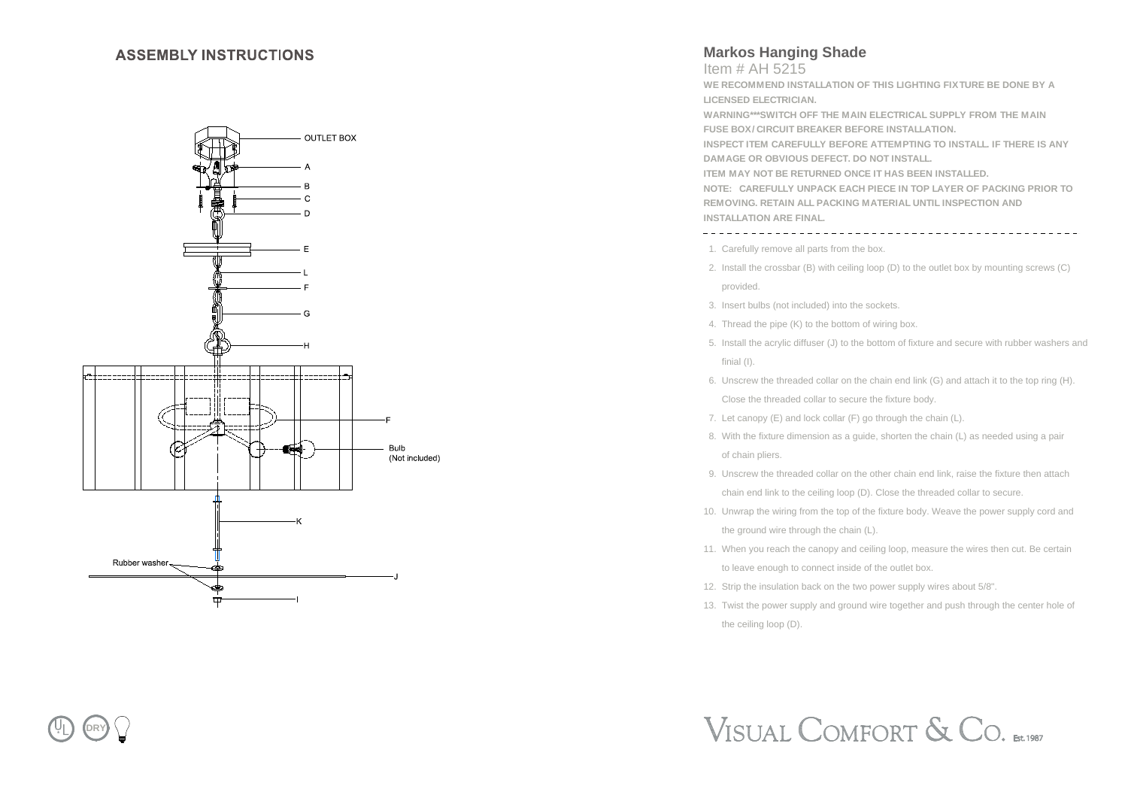

## **Markos Hanging Shade**

Item # AH 5215

WE RECOMMEND INSTALLATION OF THIS LIGHTING FIXTURE BE DONE BY A **LICENSED ELECTRICIAN.** 

WARNING\*\*\*SWITCH OFF THE MAIN ELECTRICAL SUPPLY FROM THE MAIN FUSE BOX/CIRCUIT BREAKER BEFORE INSTALLATION.

INSPECT ITEM CAREFULLY BEFORE ATTEMPTING TO INSTALL. IF THERE IS ANY DAMAGE OR OBVIOUS DEFECT. DO NOT INSTALL.

ITEM MAY NOT BE RETURNED ONCE IT HAS BEEN INSTALLED.

NOTE: CAREFULLY UNPACK EACH PIECE IN TOP LAYER OF PACKING PRIOR TO REMOVING, RETAIN ALL PACKING MATERIAL UNTIL INSPECTION AND **INSTALLATION ARE FINAL.** 

1. Carefully remove all parts from the box.

- 2. Install the crossbar (B) with ceiling loop (D) to the outlet box by mounting screws (C) provided.
- 3. Insert bulbs (not included) into the sockets.
- 4. Thread the pipe (K) to the bottom of wiring box.
- 5. Install the acrylic diffuser (J) to the bottom of fixture and secure with rubber washers and finial (I).
- 6. Unscrew the threaded collar on the chain end link (G) and attach it to the top ring (H). Close the threaded collar to secure the fixture body.
- 7. Let canopy (E) and lock collar (F) go through the chain (L).
- 8. With the fixture dimension as a guide, shorten the chain (L) as needed using a pair of chain pliers.
- 9. Unscrew the threaded collar on the other chain end link, raise the fixture then attach chain end link to the ceiling loop (D). Close the threaded collar to secure.
- 10. Unwrap the wiring from the top of the fixture body. Weave the power supply cord and the ground wire through the chain (L).
- 11. When you reach the canopy and ceiling loop, measure the wires then cut. Be certain to leave enough to connect inside of the outlet box.
- 12. Strip the insulation back on the two power supply wires about 5/8".
- 13. Twist the power supply and ground wire together and push through the center hole of the ceiling loop (D).

## VISUAL COMFORT & CO. EST.1987